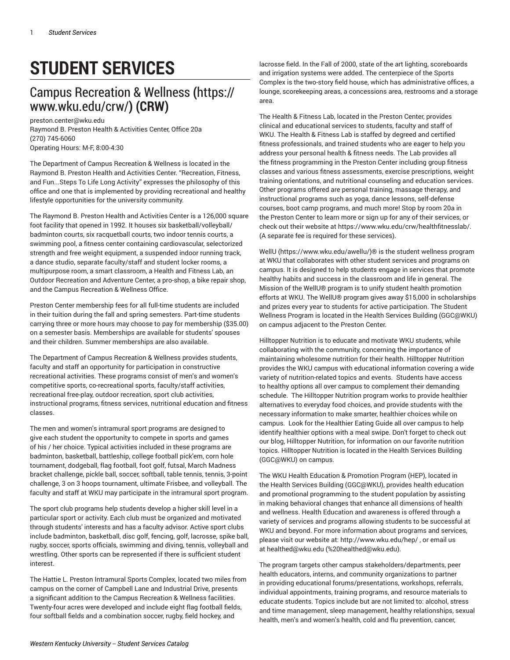# **STUDENT SERVICES**

## Campus [Recreation](https://www.wku.edu/crw/) & Wellness **(**[https://](https://www.wku.edu/crw/) [www.wku.edu/crw/](https://www.wku.edu/crw/)**) (CRW)**

[preston.center@wku.edu](mailto:preston.center@wku.edu) Raymond B. Preston Health & Activities Center, Office 20a (270) 745-6060 Operating Hours: M-F, 8:00-4:30

The Department of Campus Recreation & Wellness is located in the Raymond B. Preston Health and Activities Center. "Recreation, Fitness, and Fun...Steps To Life Long Activity" expresses the philosophy of this office and one that is implemented by providing recreational and healthy lifestyle opportunities for the university community.

The Raymond B. Preston Health and Activities Center is a 126,000 square foot facility that opened in 1992. It houses six basketball/volleyball/ badminton courts, six racquetball courts, two indoor tennis courts, a swimming pool, a fitness center containing cardiovascular, selectorized strength and free weight equipment, a suspended indoor running track, a dance studio, separate faculty/staff and student locker rooms, a multipurpose room, a smart classroom, a Health and Fitness Lab, an Outdoor Recreation and Adventure Center, a pro-shop, a bike repair shop, and the Campus Recreation & Wellness Office.

Preston Center membership fees for all full-time students are included in their tuition during the fall and spring semesters. Part-time students carrying three or more hours may choose to pay for membership (\$35.00) on a semester basis. Memberships are available for students' spouses and their children. Summer memberships are also available.

The Department of Campus Recreation & Wellness provides students, faculty and staff an opportunity for participation in constructive recreational activities. These programs consist of men's and women's competitive sports, co-recreational sports, faculty/staff activities, recreational free-play, outdoor recreation, sport club activities, instructional programs, fitness services, nutritional education and fitness classes.

The men and women's intramural sport programs are designed to give each student the opportunity to compete in sports and games of his / her choice. Typical activities included in these programs are badminton, basketball, battleship, college football pick'em, corn hole tournament, dodgeball, flag football, foot golf, futsal, March Madness bracket challenge, pickle ball, soccer, softball, table tennis, tennis, 3-point challenge, 3 on 3 hoops tournament, ultimate Frisbee, and volleyball. The faculty and staff at WKU may participate in the intramural sport program.

The sport club programs help students develop a higher skill level in a particular sport or activity. Each club must be organized and motivated through students' interests and has a faculty advisor. Active sport clubs include badminton, basketball, disc golf, fencing, golf, lacrosse, spike ball, rugby, soccer, sports officials, swimming and diving, tennis, volleyball and wrestling. Other sports can be represented if there is sufficient student interest.

The Hattie L. Preston Intramural Sports Complex, located two miles from campus on the corner of Campbell Lane and Industrial Drive, presents a significant addition to the Campus Recreation & Wellness facilities. Twenty-four acres were developed and include eight flag football fields, four softball fields and a combination soccer, rugby, field hockey, and

lacrosse field. In the Fall of 2000, state of the art lighting, scoreboards and irrigation systems were added. The centerpiece of the Sports Complex is the two-story field house, which has administrative offices, a lounge, scorekeeping areas, a concessions area, restrooms and a storage area.

The Health & Fitness Lab, located in the Preston Center, provides clinical and educational services to students, faculty and staff of WKU. The Health & Fitness Lab is staffed by degreed and certified fitness professionals, and trained students who are eager to help you address your personal health & fitness needs. The Lab provides all the fitness programming in the Preston Center including group fitness classes and various fitness assessments, exercise prescriptions, weight training orientations, and nutritional counseling and education services. Other programs offered are personal training, massage therapy, and instructional programs such as yoga, dance lessons, self-defense courses, boot camp programs, and much more! Stop by room 20a in the Preston Center to learn more or sign up for any of their services, or check out their website at <https://www.wku.edu/crw/healthfitnesslab/>. (A separate fee is required for these services).

[WellU](https://www.wku.edu/awellu/) ([https://www.wku.edu/awellu/\)](https://www.wku.edu/awellu/)® is the student wellness program at WKU that collaborates with other student services and programs on campus. It is designed to help students engage in services that promote healthy habits and success in the classroom and life in general. The Mission of the WellU® program is to unify student health promotion efforts at WKU. The WellU® program gives away \$15,000 in scholarships and prizes every year to students for active participation. The Student Wellness Program is located in the Health Services Building (GGC@WKU) on campus adjacent to the Preston Center.

Hilltopper Nutrition is to educate and motivate WKU students, while collaborating with the community, concerning the importance of maintaining wholesome nutrition for their health. Hilltopper Nutrition provides the WKU campus with educational information covering a wide variety of nutrition-related topics and events. Students have access to healthy options all over campus to complement their demanding schedule. The Hilltopper Nutrition program works to provide healthier alternatives to everyday food choices, and provide students with the necessary information to make smarter, healthier choices while on campus. Look for the Healthier Eating Guide all over campus to help identify healthier options with a meal swipe. Don't forget to check out our blog, Hilltopper Nutrition, for information on our favorite nutrition topics. Hilltopper Nutrition is located in the Health Services Building (GGC@WKU) on campus.

The WKU Health Education & Promotion Program (HEP), located in the Health Services Building (GGC@WKU), provides health education and promotional programming to the student population by assisting in making behavioral changes that enhance all dimensions of health and wellness. Health Education and awareness is offered through a variety of services and programs allowing students to be successful at WKU and beyond. For more information about programs and services, please visit our website at: <http://www.wku.edu/hep/>, or email us at [healthed@wku.edu](mailto:%20healthed@wku.edu) (<%20healthed@wku.edu>).

The program targets other campus stakeholders/departments, peer health educators, interns, and community organizations to partner in providing educational forums/presentations, workshops, referrals, individual appointments, training programs, and resource materials to educate students. Topics include but are not limited to: alcohol, stress and time management, sleep management, healthy relationships, sexual health, men's and women's health, cold and flu prevention, cancer,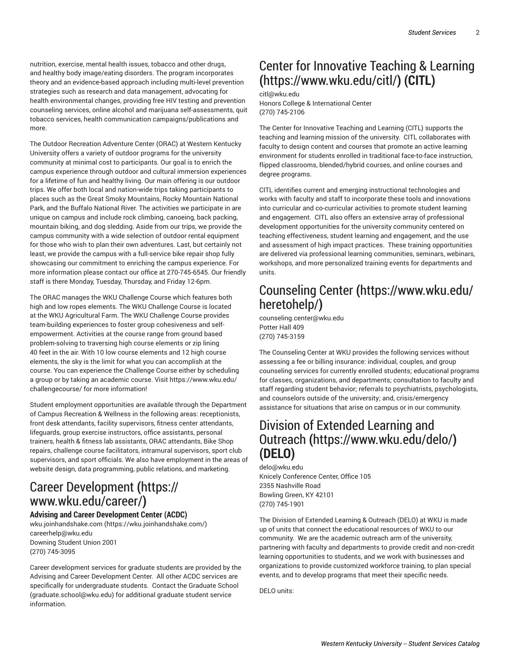nutrition, exercise, mental health issues, tobacco and other drugs, and healthy body image/eating disorders. The program incorporates theory and an evidence-based approach including multi-level prevention strategies such as research and data management, advocating for health environmental changes, providing free HIV testing and prevention counseling services, online alcohol and marijuana self-assessments, quit tobacco services, health communication campaigns/publications and more.

The Outdoor Recreation Adventure Center (ORAC) at Western Kentucky University offers a variety of outdoor programs for the university community at minimal cost to participants. Our goal is to enrich the campus experience through outdoor and cultural immersion experiences for a lifetime of fun and healthy living. Our main offering is our outdoor trips. We offer both local and nation-wide trips taking participants to places such as the Great Smoky Mountains, Rocky Mountain National Park, and the Buffalo National River. The activities we participate in are unique on campus and include rock climbing, canoeing, back packing, mountain biking, and dog sledding. Aside from our trips, we provide the campus community with a wide selection of outdoor rental equipment for those who wish to plan their own adventures. Last, but certainly not least, we provide the campus with a full-service bike repair shop fully showcasing our commitment to enriching the campus experience. For more information please contact our office at 270-745-6545. Our friendly staff is there Monday, Tuesday, Thursday, and Friday 12-6pm.

The ORAC manages the WKU Challenge Course which features both high and low ropes elements. The WKU Challenge Course is located at the WKU Agricultural Farm. The WKU Challenge Course provides team-building experiences to foster group cohesiveness and selfempowerment. Activities at the course range from ground based problem-solving to traversing high course elements or zip lining 40 feet in the air. With 10 low course elements and 12 high course elements, the sky is the limit for what you can accomplish at the course. You can experience the Challenge Course either by scheduling a group or by taking an academic course. Visit [https://www.wku.edu/](https://www.wku.edu/challengecourse/) [challengecourse/](https://www.wku.edu/challengecourse/) for more information!

Student employment opportunities are available through the Department of Campus Recreation & Wellness in the following areas: receptionists, front desk attendants, facility supervisors, fitness center attendants, lifeguards, group exercise instructors, office assistants, personal trainers, health & fitness lab assistants, ORAC attendants, Bike Shop repairs, challenge course facilitators, intramural supervisors, sport club supervisors, and sport officials. We also have employment in the areas of website design, data programming, public relations, and marketing.

## Career [Development](https://www.wku.edu/career/) **(**[https://](https://www.wku.edu/career/) [www.wku.edu/career/](https://www.wku.edu/career/)**)**

#### **Advising and Career Development Center (ACDC)**

[wku.joinhandshake.com](https://wku.joinhandshake.com/) ([https://wku.joinhandshake.com/\)](https://wku.joinhandshake.com/) [careerhelp@wku.edu](mailto:careerhelp@wku.edu) Downing Student Union 2001 (270) 745-3095

Career development services for graduate students are provided by the Advising and Career Development Center. All other ACDC services are specifically for undergraduate students. Contact the [Graduate School](mailto:graduate.school@wku.edu) (<graduate.school@wku.edu>) for additional graduate student service information.

## Center for [Innovative](https://www.wku.edu/citl/) Teaching & Learning **(**<https://www.wku.edu/citl/>**) (CITL)**

#### [citl@wku.edu](mailto:citl@wku.edu)

Honors College & International Center (270) 745-2106

The Center for Innovative Teaching and Learning (CITL) supports the teaching and learning mission of the university. CITL collaborates with faculty to design content and courses that promote an active learning environment for students enrolled in traditional face-to-face instruction, flipped classrooms, blended/hybrid courses, and online courses and degree programs.

CITL identifies current and emerging instructional technologies and works with faculty and staff to incorporate these tools and innovations into curricular and co-curricular activities to promote student learning and engagement. CITL also offers an extensive array of professional development opportunities for the university community centered on teaching effectiveness, student learning and engagement, and the use and assessment of high impact practices. These training opportunities are delivered via professional learning communities, seminars, webinars, workshops, and more personalized training events for departments and units.

## [Counseling Center](https://www.wku.edu/heretohelp/) **(**[https://www.wku.edu/](https://www.wku.edu/heretohelp/) [heretohelp/](https://www.wku.edu/heretohelp/)**)**

[counseling.center@wku.edu](mailto:counseling.center@wku.edu) Potter Hall 409 (270) 745-3159

The Counseling Center at WKU provides the following services without assessing a fee or billing insurance: individual, couples, and group counseling services for currently enrolled students; educational programs for classes, organizations, and departments; consultation to faculty and staff regarding student behavior; referrals to psychiatrists, psychologists, and counselors outside of the university; and, crisis/emergency assistance for situations that arise on campus or in our community.

## [Division of Extended Learning and](https://www.wku.edu/delo/) [Outreach](https://www.wku.edu/delo/) **(**<https://www.wku.edu/delo/>**) (DELO)**

[delo@wku.edu](mailto:delo@wku.edu) Knicely Conference Center, Office 105 2355 Nashville Road Bowling Green, KY 42101 (270) 745-1901

The Division of Extended Learning & Outreach (DELO) at WKU is made up of units that connect the educational resources of WKU to our community. We are the academic outreach arm of the university, partnering with faculty and departments to provide credit and non-credit learning opportunities to students, and we work with businesses and organizations to provide customized workforce training, to plan special events, and to develop programs that meet their specific needs.

DELO units: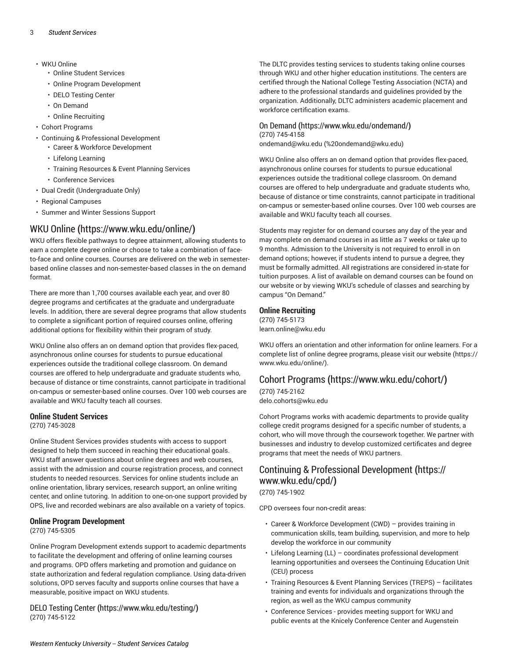- WKU Online
	- Online Student Services
	- Online Program Development
	- DELO Testing Center
	- On Demand
	- Online Recruiting
- Cohort Programs
- Continuing & Professional Development
	- Career & Workforce Development
	- Lifelong Learning
	- Training Resources & Event Planning Services
	- Conference Services
- Dual Credit (Undergraduate Only)
- Regional Campuses
- Summer and Winter Sessions Support

### [WKU Online](https://www.wku.edu/online/) **(**<https://www.wku.edu/online/>**)**

WKU offers flexible pathways to degree attainment, allowing students to earn a complete degree online or choose to take a combination of faceto-face and online courses. Courses are delivered on the web in semesterbased online classes and non-semester-based classes in the on demand format.

There are more than 1,700 courses available each year, and over 80 degree programs and certificates at the graduate and undergraduate levels. In addition, there are several degree programs that allow students to complete a significant portion of required courses online, offering additional options for flexibility within their program of study.

WKU Online also offers an on demand option that provides flex-paced, asynchronous online courses for students to pursue educational experiences outside the traditional college classroom. On demand courses are offered to help undergraduate and graduate students who, because of distance or time constraints, cannot participate in traditional on-campus or semester-based online courses. Over 100 web courses are available and WKU faculty teach all courses.

#### **Online Student Services**

(270) 745-3028

Online Student Services provides students with access to support designed to help them succeed in reaching their educational goals. WKU staff answer questions about online degrees and web courses, assist with the admission and course registration process, and connect students to needed resources. Services for online students include an online orientation, library services, research support, an online writing center, and online tutoring. In addition to one-on-one support provided by OPS, live and recorded webinars are also available on a variety of topics.

#### **Online Program Development** (270) 745-5305

Online Program Development extends support to academic departments to facilitate the development and offering of online learning courses and programs. OPD offers marketing and promotion and guidance on state authorization and federal regulation compliance. Using data-driven solutions, OPD serves faculty and supports online courses that have a measurable, positive impact on WKU students.

DELO [Testing](https://www.wku.edu/testing/) Center **(**<https://www.wku.edu/testing/>**)** (270) 745-5122

The DLTC provides testing services to students taking online courses through WKU and other higher education institutions. The centers are certified through the National College Testing Association (NCTA) and adhere to the professional standards and guidelines provided by the organization. Additionally, DLTC administers academic placement and workforce certification exams.

#### [On Demand](https://www.wku.edu/ondemand/) **(**<https://www.wku.edu/ondemand/>**)** (270) 745-4158

[ondemand@wku.edu](mailto:%20ondemand@wku.edu) (<%20ondemand@wku.edu>)

WKU Online also offers an on demand option that provides flex-paced, asynchronous online courses for students to pursue educational experiences outside the traditional college classroom. On demand courses are offered to help undergraduate and graduate students who, because of distance or time constraints, cannot participate in traditional on-campus or semester-based online courses. Over 100 web courses are available and WKU faculty teach all courses.

Students may register for on demand courses any day of the year and may complete on demand courses in as little as 7 weeks or take up to 9 months. Admission to the University is not required to enroll in on demand options; however, if students intend to pursue a degree, they must be formally admitted. All registrations are considered in-state for tuition purposes. A list of available on demand courses can be found on our website or by viewing WKU's schedule of classes and searching by campus "On Demand."

#### **Online Recruiting**

(270) 745-5173 [learn.online@wku.edu](mailto:learn.online@wku.edu)

WKU offers an orientation and other information for online learners. For a complete list of online degree programs, please visit our [website \(https://](https://www.wku.edu/online/) [www.wku.edu/online/\)](https://www.wku.edu/online/).

### Cohort [Programs](https://www.wku.edu/cohort/) **(**<https://www.wku.edu/cohort/>**)**

(270) 745-2162 [delo.cohorts@wku.edu](mailto:delo.cohorts@wku.edu)

Cohort Programs works with academic departments to provide quality college credit programs designed for a specific number of students, a cohort, who will move through the coursework together. We partner with businesses and industry to develop customized certificates and degree programs that meet the needs of WKU partners.

## Continuing & Professional [Development](https://www.wku.edu/cpd/) **(**[https://](https://www.wku.edu/cpd/) [www.wku.edu/cpd/](https://www.wku.edu/cpd/)**)**

### (270) 745-1902

CPD oversees four non-credit areas:

- Career & Workforce Development (CWD) provides training in communication skills, team building, supervision, and more to help develop the workforce in our community
- Lifelong Learning (LL) coordinates professional development learning opportunities and oversees the Continuing Education Unit (CEU) process
- Training Resources & Event Planning Services (TREPS) facilitates training and events for individuals and organizations through the region, as well as the WKU campus community
- Conference Services provides meeting support for WKU and public events at the Knicely Conference Center and Augenstein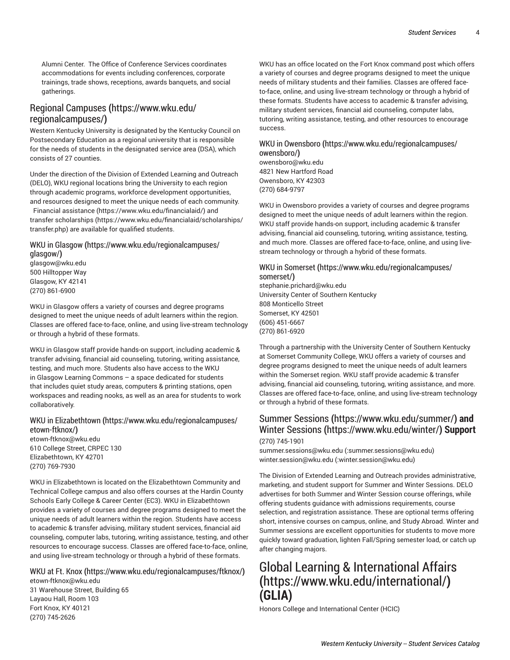Alumni Center. The Office of Conference Services coordinates accommodations for events including conferences, corporate trainings, trade shows, receptions, awards banquets, and social gatherings.

### [Regional Campuses](https://www.wku.edu/regionalcampuses/) **(**[https://www.wku.edu/](https://www.wku.edu/regionalcampuses/) [regionalcampuses/](https://www.wku.edu/regionalcampuses/)**)**

Western Kentucky University is designated by the Kentucky Council on Postsecondary Education as a regional university that is responsible for the needs of students in the designated service area (DSA), which consists of 27 counties.

Under the direction of the Division of Extended Learning and Outreach (DELO), WKU regional locations bring the University to each region through academic programs, workforce development opportunities, and resources designed to meet the unique needs of each community.

 [Financial assistance \(https://www.wku.edu/financialaid/](https://www.wku.edu/financialaid/)) and transfer [scholarships](https://www.wku.edu/financialaid/scholarships/transfer.php) ([https://www.wku.edu/financialaid/scholarships/](https://www.wku.edu/financialaid/scholarships/transfer.php) [transfer.php](https://www.wku.edu/financialaid/scholarships/transfer.php)) are available for qualified students.

#### [WKU in Glasgow](https://www.wku.edu/regionalcampuses/glasgow/) **(**[https://www.wku.edu/regionalcampuses/](https://www.wku.edu/regionalcampuses/glasgow/) [glasgow/](https://www.wku.edu/regionalcampuses/glasgow/)**)**

[glasgow@wku.edu](mailto:glasgow@wku.edu) 500 Hilltopper Way Glasgow, KY 42141 (270) 861-6900

WKU in Glasgow offers a variety of courses and degree programs designed to meet the unique needs of adult learners within the region. Classes are offered face-to-face, online, and using live-stream technology or through a hybrid of these formats.

WKU in Glasgow staff provide hands-on support, including academic & transfer advising, financial aid counseling, tutoring, writing assistance, testing, and much more. Students also have access to the WKU in Glasgow Learning Commons – a space dedicated for students that includes quiet study areas, computers & printing stations, open workspaces and reading nooks, as well as an area for students to work collaboratively.

#### WKU in [Elizabethtown](https://www.wku.edu/regionalcampuses/etown-ftknox/) **(**[https://www.wku.edu/regionalcampuses/](https://www.wku.edu/regionalcampuses/etown-ftknox/) [etown-ftknox/](https://www.wku.edu/regionalcampuses/etown-ftknox/)**)**

[etown-ftknox@wku.edu](mailto:etown-ftknox@wku.edu) 610 College Street, CRPEC 130 Elizabethtown, KY 42701 (270) 769-7930

WKU in Elizabethtown is located on the Elizabethtown Community and Technical College campus and also offers courses at the Hardin County Schools Early College & Career Center (EC3). WKU in Elizabethtown provides a variety of courses and degree programs designed to meet the unique needs of adult learners within the region. Students have access to academic & transfer advising, military student services, financial aid counseling, computer labs, tutoring, writing assistance, testing, and other resources to encourage success. Classes are offered face-to-face, online, and using live-stream technology or through a hybrid of these formats.

### WKU at Ft. [Knox](https://www.wku.edu/regionalcampuses/ftknox/) **(**<https://www.wku.edu/regionalcampuses/ftknox/>**)**

[etown-ftknox@wku.edu](mailto:etown-ftknox@wku.edu) 31 Warehouse Street, Building 65 Layaou Hall, Room 103 Fort Knox, KY 40121 (270) 745-2626

WKU has an office located on the Fort Knox command post which offers a variety of courses and degree programs designed to meet the unique needs of military students and their families. Classes are offered faceto-face, online, and using live-stream technology or through a hybrid of these formats. Students have access to academic & transfer advising, military student services, financial aid counseling, computer labs, tutoring, writing assistance, testing, and other resources to encourage success.

#### WKU in [Owensboro](https://www.wku.edu/regionalcampuses/owensboro/) **(**[https://www.wku.edu/regionalcampuses/](https://www.wku.edu/regionalcampuses/owensboro/) [owensboro/](https://www.wku.edu/regionalcampuses/owensboro/)**)**

[owensboro@wku.edu](mailto:owensboro@wku.edu) 4821 New Hartford Road Owensboro, KY 42303 (270) 684-9797

WKU in Owensboro provides a variety of courses and degree programs designed to meet the unique needs of adult learners within the region. WKU staff provide hands-on support, including academic & transfer advising, financial aid counseling, tutoring, writing assistance, testing, and much more. Classes are offered face-to-face, online, and using livestream technology or through a hybrid of these formats.

#### [WKU in Somerset](https://www.wku.edu/regionalcampuses/somerset/) **(**[https://www.wku.edu/regionalcampuses/](https://www.wku.edu/regionalcampuses/somerset/) [somerset/](https://www.wku.edu/regionalcampuses/somerset/)**)**

[stephanie.prichard@wku.edu](mailto:stephanie.prichard@wku.edu) University Center of Southern Kentucky 808 Monticello Street Somerset, KY 42501 (606) 451-6667 (270) 861-6920

Through a partnership with the University Center of Southern Kentucky at Somerset Community College, WKU offers a variety of courses and degree programs designed to meet the unique needs of adult learners within the Somerset region. WKU staff provide academic & transfer advising, financial aid counseling, tutoring, writing assistance, and more. Classes are offered face-to-face, online, and using live-stream technology or through a hybrid of these formats.

### [Summer Sessions](https://www.wku.edu/summer/) **(**<https://www.wku.edu/summer/>**) and** [Winter Sessions](https://www.wku.edu/winter/) **(**<https://www.wku.edu/winter/>**) Support** (270) 745-1901

[summer.sessions@wku.edu](mailto::summer.sessions@wku.edu) [\(:summer.sessions@wku.edu\)](:summer.sessions@wku.edu) [winter.session@wku.edu](mailto::winter.session@wku.edu) ([:winter.session@wku.edu\)](:winter.session@wku.edu)

The Division of Extended Learning and Outreach provides administrative, marketing, and student support for Summer and Winter Sessions. DELO advertises for both Summer and Winter Session course offerings, while offering students guidance with admissions requirements, course selection, and registration assistance. These are optional terms offering short, intensive courses on campus, online, and Study Abroad. Winter and Summer sessions are excellent opportunities for students to move more quickly toward graduation, lighten Fall/Spring semester load, or catch up after changing majors.

## [Global Learning & International Affairs](https://www.wku.edu/international/) **(**<https://www.wku.edu/international/>**) (GLIA)**

Honors College and International Center (HCIC)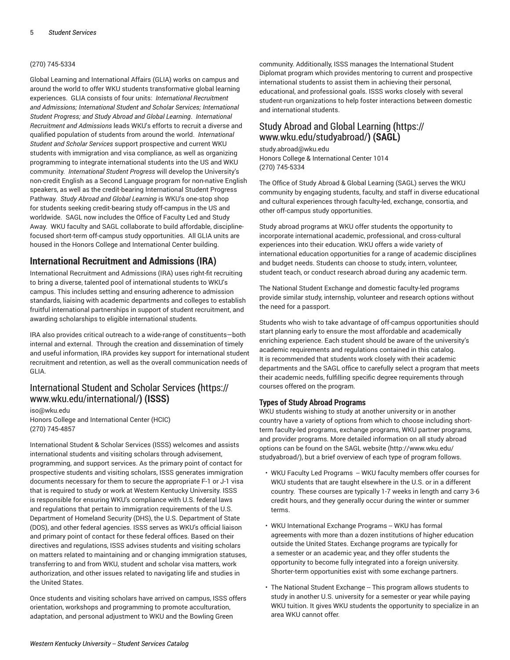#### (270) 745-5334

Global Learning and International Affairs (GLIA) works on campus and around the world to offer WKU students transformative global learning experiences. GLIA consists of four units: *International Recruitment and Admissions; International Student and Scholar Services; International Student Progress; and Study Abroad and Global Learning*. *International Recruitment and Admissions* leads WKU's efforts to recruit a diverse and qualified population of students from around the world. *International Student and Scholar Services* support prospective and current WKU students with immigration and visa compliance, as well as organizing programming to integrate international students into the US and WKU community. *International Student Progress* will develop the University's non-credit English as a Second Language program for non-native English speakers, as well as the credit-bearing International Student Progress Pathway. *Study Abroad and Global Learning* is WKU's one-stop shop for students seeking credit-bearing study off-campus in the US and worldwide. SAGL now includes the Office of Faculty Led and Study Away. WKU faculty and SAGL collaborate to build affordable, disciplinefocused short-term off-campus study opportunities. All GLIA units are housed in the Honors College and International Center building.

#### **International Recruitment and Admissions (IRA)**

International Recruitment and Admissions (IRA) uses right-fit recruiting to bring a diverse, talented pool of international students to WKU's campus. This includes setting and ensuring adherence to admission standards, liaising with academic departments and colleges to establish fruitful international partnerships in support of student recruitment, and awarding scholarships to eligible international students.

IRA also provides critical outreach to a wide-range of constituents—both internal and external. Through the creation and dissemination of timely and useful information, IRA provides key support for international student recruitment and retention, as well as the overall communication needs of GLIA.

### [International](https://www.wku.edu/international/) Student and Scholar Services **(**[https://](https://www.wku.edu/international/) [www.wku.edu/international/](https://www.wku.edu/international/)**) (ISSS)**

[iso@wku.edu](mailto:iso@wku.edu) Honors College and International Center (HCIC) (270) 745-4857

International Student & Scholar Services (ISSS) welcomes and assists international students and visiting scholars through advisement, programming, and support services. As the primary point of contact for prospective students and visiting scholars, ISSS generates immigration documents necessary for them to secure the appropriate F-1 or J-1 visa that is required to study or work at Western Kentucky University. ISSS is responsible for ensuring WKU's compliance with U.S. federal laws and regulations that pertain to immigration requirements of the U.S. Department of Homeland Security (DHS), the U.S. Department of State (DOS), and other federal agencies. ISSS serves as WKU's official liaison and primary point of contact for these federal offices. Based on their directives and regulations, ISSS advises students and visiting scholars on matters related to maintaining and or changing immigration statuses, transferring to and from WKU, student and scholar visa matters, work authorization, and other issues related to navigating life and studies in the United States.

Once students and visiting scholars have arrived on campus, ISSS offers orientation, workshops and programming to promote acculturation, adaptation, and personal adjustment to WKU and the Bowling Green

community. Additionally, ISSS manages the International Student Diplomat program which provides mentoring to current and prospective international students to assist them in achieving their personal, educational, and professional goals. ISSS works closely with several student-run organizations to help foster interactions between domestic and international students.

### Study Abroad and Global [Learning](https://www.wku.edu/studyabroad/) **(**[https://](https://www.wku.edu/studyabroad/) [www.wku.edu/studyabroad/](https://www.wku.edu/studyabroad/)**) (SAGL)**

[study.abroad@wku.edu](mailto:study.abroad@wku.edu) Honors College & International Center 1014 (270) 745-5334

The Office of Study Abroad & Global Learning (SAGL) serves the WKU community by engaging students, faculty, and staff in diverse educational and cultural experiences through faculty-led, exchange, consortia, and other off-campus study opportunities.

Study abroad programs at WKU offer students the opportunity to incorporate international academic, professional, and cross-cultural experiences into their education. WKU offers a wide variety of international education opportunities for a range of academic disciplines and budget needs. Students can choose to study, intern, volunteer, student teach, or conduct research abroad during any academic term.

The National Student Exchange and domestic faculty-led programs provide similar study, internship, volunteer and research options without the need for a passport.

Students who wish to take advantage of off-campus opportunities should start planning early to ensure the most affordable and academically enriching experience. Each student should be aware of the university's academic requirements and regulations contained in this catalog. It is recommended that students work closely with their academic departments and the SAGL office to carefully select a program that meets their academic needs, fulfilling specific degree requirements through courses offered on the program.

#### **Types of Study Abroad Programs**

WKU students wishing to study at another university or in another country have a variety of options from which to choose including shortterm faculty-led programs, exchange programs, WKU partner programs, and provider programs. More detailed information on all study abroad options can be found on the [SAGL website \(http://www.wku.edu/](http://www.wku.edu/studyabroad/) [studyabroad/\)](http://www.wku.edu/studyabroad/), but a brief overview of each type of program follows.

- WKU Faculty Led Programs WKU faculty members offer courses for WKU students that are taught elsewhere in the U.S. or in a different country. These courses are typically 1-7 weeks in length and carry 3-6 credit hours, and they generally occur during the winter or summer terms.
- WKU International Exchange Programs -- WKU has formal agreements with more than a dozen institutions of higher education outside the United States. Exchange programs are typically for a semester or an academic year, and they offer students the opportunity to become fully integrated into a foreign university. Shorter-term opportunities exist with some exchange partners.
- The National Student Exchange -- This program allows students to study in another U.S. university for a semester or year while paying WKU tuition. It gives WKU students the opportunity to specialize in an area WKU cannot offer.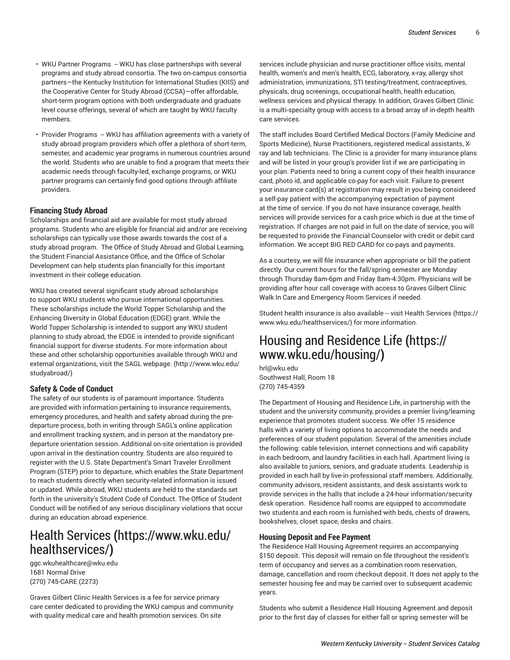- WKU Partner Programs WKU has close partnerships with several programs and study abroad consortia. The two on-campus consortia partners—the Kentucky Institution for International Studies (KIIS) and the Cooperative Center for Study Abroad (CCSA)—offer affordable, short-term program options with both undergraduate and graduate level course offerings, several of which are taught by WKU faculty members.
- Provider Programs WKU has affiliation agreements with a variety of study abroad program providers which offer a plethora of short-term, semester, and academic year programs in numerous countries around the world. Students who are unable to find a program that meets their academic needs through faculty-led, exchange programs, or WKU partner programs can certainly find good options through affiliate providers.

#### **Financing Study Abroad**

Scholarships and financial aid are available for most study abroad programs. Students who are eligible for financial aid and/or are receiving scholarships can typically use those awards towards the cost of a study abroad program. The Office of Study Abroad and Global Learning, the Student Financial Assistance Office, and the Office of Scholar Development can help students plan financially for this important investment in their college education.

WKU has created several significant study abroad scholarships to support WKU students who pursue international opportunities. These scholarships include the World Topper Scholarship and the Enhancing Diversity in Global Education (EDGE) grant. While the World Topper Scholarship is intended to support any WKU student planning to study abroad, the EDGE is intended to provide significant financial support for diverse students. For more information about these and other scholarship opportunities available through WKU and external organizations, visit the [SAGL webpage. \(http://www.wku.edu/](http://www.wku.edu/studyabroad/) [studyabroad/](http://www.wku.edu/studyabroad/))

#### **Safety & Code of Conduct**

The safety of our students is of paramount importance. Students are provided with information pertaining to insurance requirements, emergency procedures, and health and safety abroad during the predeparture process, both in writing through SAGL's online application and enrollment tracking system, and in person at the mandatory predeparture orientation session. Additional on-site orientation is provided upon arrival in the destination country. Students are also required to register with the U.S. State Department's Smart Traveler Enrollment Program (STEP) prior to departure, which enables the State Department to reach students directly when security-related information is issued or updated. While abroad, WKU students are held to the standards set forth in the university's Student Code of Conduct. The Office of Student Conduct will be notified of any serious disciplinary violations that occur during an education abroad experience.

## Health [Services](https://www.wku.edu/healthservices/) **(**[https://www.wku.edu/](https://www.wku.edu/healthservices/) [healthservices/](https://www.wku.edu/healthservices/)**)**

[ggc.wkuhealthcare@wku.edu](mailto:ggc.wkuhealthcare@wku.edu) 1681 Normal Drive (270) 745-CARE (2273)

Graves Gilbert Clinic Health Services is a fee for service primary care center dedicated to providing the WKU campus and community with quality medical care and health promotion services. On site

services include physician and nurse practitioner office visits, mental health, women's and men's health, ECG, laboratory, x-ray, allergy shot administration, immunizations, STI testing/treatment, contraceptives, physicals, drug screenings, occupational health, health education, wellness services and physical therapy. In addition, Graves Gilbert Clinic is a multi-specialty group with access to a broad array of in-depth health care services.

The staff includes Board Certified Medical Doctors (Family Medicine and Sports Medicine), Nurse Practitioners, registered medical assistants, Xray and lab technicians. The Clinic is a provider for many insurance plans and will be listed in your group's provider list if we are participating in your plan. Patients need to bring a current copy of their health insurance card, photo id, and applicable co-pay for each visit. Failure to present your insurance card(s) at registration may result in you being considered a self-pay patient with the accompanying expectation of payment at the time of service. If you do not have insurance coverage, health services will provide services for a cash price which is due at the time of registration. If charges are not paid in full on the date of service, you will be requested to provide the Financial Counselor with credit or debit card information. We accept BIG RED CARD for co-pays and payments.

As a courtesy, we will file insurance when appropriate or bill the patient directly. Our current hours for the fall/spring semester are Monday through Thursday 8am-6pm and Friday 8am-4:30pm. Physicians will be providing after hour call coverage with access to Graves Gilbert Clinic Walk In Care and Emergency Room Services if needed.

Student health insurance is also available -- visit Health [Services](https://www.wku.edu/healthservices/) ([https://](https://www.wku.edu/healthservices/) [www.wku.edu/healthservices/](https://www.wku.edu/healthservices/)) for more information.

## Housing and [Residence](https://www.wku.edu/housing/) Life **(**[https://](https://www.wku.edu/housing/) [www.wku.edu/housing/](https://www.wku.edu/housing/)**)**

[hrl@wku.edu](mailto:hrl@wku.edu) Southwest Hall, Room 18 (270) 745-4359

The Department of Housing and Residence Life, in partnership with the student and the university community, provides a premier living/learning experience that promotes student success. We offer 15 residence halls with a variety of living options to accommodate the needs and preferences of our student population. Several of the amenities include the following: cable television, internet connections and wifi capability in each bedroom, and laundry facilities in each hall. Apartment living is also available to juniors, seniors, and graduate students. Leadership is provided in each hall by live-in professional staff members. Additionally, community advisors, resident assistants, and desk assistants work to provide services in the halls that include a 24-hour information/security desk operation. Residence hall rooms are equipped to accommodate two students and each room is furnished with beds, chests of drawers, bookshelves, closet space, desks and chairs.

#### **Housing Deposit and Fee Payment**

The Residence Hall Housing Agreement requires an accompanying \$150 deposit. This deposit will remain on file throughout the resident's term of occupancy and serves as a combination room reservation, damage, cancellation and room checkout deposit. It does not apply to the semester housing fee and may be carried over to subsequent academic years.

Students who submit a Residence Hall Housing Agreement and deposit prior to the first day of classes for either fall or spring semester will be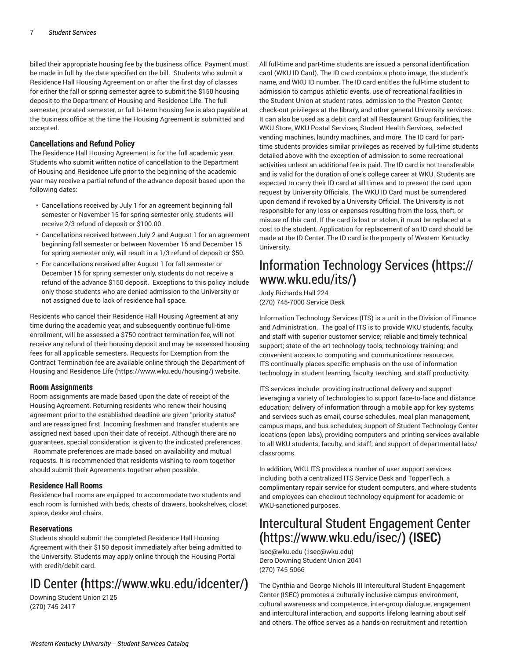billed their appropriate housing fee by the business office. Payment must be made in full by the date specified on the bill. Students who submit a Residence Hall Housing Agreement on or after the first day of classes for either the fall or spring semester agree to submit the \$150 housing deposit to the Department of Housing and Residence Life. The full semester, prorated semester, or full bi-term housing fee is also payable at the business office at the time the Housing Agreement is submitted and accepted.

#### **Cancellations and Refund Policy**

The Residence Hall Housing Agreement is for the full academic year. Students who submit written notice of cancellation to the Department of Housing and Residence Life prior to the beginning of the academic year may receive a partial refund of the advance deposit based upon the following dates:

- Cancellations received by July 1 for an agreement beginning fall semester or November 15 for spring semester only, students will receive 2/3 refund of deposit or \$100.00.
- Cancellations received between July 2 and August 1 for an agreement beginning fall semester or between November 16 and December 15 for spring semester only, will result in a 1/3 refund of deposit or \$50.
- For cancellations received after August 1 for fall semester or December 15 for spring semester only, students do not receive a refund of the advance \$150 deposit. Exceptions to this policy include only those students who are denied admission to the University or not assigned due to lack of residence hall space.

Residents who cancel their Residence Hall Housing Agreement at any time during the academic year, and subsequently continue full-time enrollment, will be assessed a \$750 contract termination fee, will not receive any refund of their housing deposit and may be assessed housing fees for all applicable semesters. Requests for Exemption from the Contract Termination fee are available online through the [Department](https://www.wku.edu/housing/) of Housing and [Residence](https://www.wku.edu/housing/) Life ([https://www.wku.edu/housing/\)](https://www.wku.edu/housing/) website.

#### **Room Assignments**

Room assignments are made based upon the date of receipt of the Housing Agreement. Returning residents who renew their housing agreement prior to the established deadline are given "priority status" and are reassigned first. Incoming freshmen and transfer students are assigned next based upon their date of receipt. Although there are no guarantees, special consideration is given to the indicated preferences. Roommate preferences are made based on availability and mutual

requests. It is recommended that residents wishing to room together should submit their Agreements together when possible.

#### **Residence Hall Rooms**

Residence hall rooms are equipped to accommodate two students and each room is furnished with beds, chests of drawers, bookshelves, closet space, desks and chairs.

#### **Reservations**

Students should submit the completed Residence Hall Housing Agreement with their \$150 deposit immediately after being admitted to the University. Students may apply online through the Housing Portal with credit/debit card.

## [ID Center](https://www.wku.edu/idcenter/) **(**<https://www.wku.edu/idcenter/>**)**

Downing Student Union 2125 (270) 745-2417

All full-time and part-time students are issued a personal identification card (WKU ID Card). The ID card contains a photo image, the student's name, and WKU ID number. The ID card entitles the full-time student to admission to campus athletic events, use of recreational facilities in the Student Union at student rates, admission to the Preston Center, check-out privileges at the library, and other general University services. It can also be used as a debit card at all Restaurant Group facilities, the WKU Store, WKU Postal Services, Student Health Services, selected vending machines, laundry machines, and more. The ID card for parttime students provides similar privileges as received by full-time students detailed above with the exception of admission to some recreational activities unless an additional fee is paid. The ID card is not transferable and is valid for the duration of one's college career at WKU. Students are expected to carry their ID card at all times and to present the card upon request by University Officials. The WKU ID Card must be surrendered upon demand if revoked by a University Official. The University is not responsible for any loss or expenses resulting from the loss, theft, or misuse of this card. If the card is lost or stolen, it must be replaced at a cost to the student. Application for replacement of an ID card should be made at the ID Center. The ID card is the property of Western Kentucky University.

## [Information](https://www.wku.edu/its/) Technology Services **(**[https://](https://www.wku.edu/its/) [www.wku.edu/its/](https://www.wku.edu/its/)**)**

Jody Richards Hall 224 (270) 745-7000 Service Desk

Information Technology Services (ITS) is a unit in the Division of Finance and Administration. The goal of ITS is to provide WKU students, faculty, and staff with superior customer service; reliable and timely technical support; state-of-the-art technology tools; technology training; and convenient access to computing and communications resources. ITS continually places specific emphasis on the use of information technology in student learning, faculty teaching, and staff productivity.

ITS services include: providing instructional delivery and support leveraging a variety of technologies to support face-to-face and distance education; delivery of information through a mobile app for key systems and services such as email, course schedules, meal plan management, campus maps, and bus schedules; support of Student Technology Center locations (open labs), providing computers and printing services available to all WKU students, faculty, and staff; and support of departmental labs/ classrooms.

In addition, WKU ITS provides a number of user support services including both a centralized ITS Service Desk and TopperTech, a complimentary repair service for student computers, and where students and employees can checkout technology equipment for academic or WKU-sanctioned purposes.

## Intercultural Student [Engagement](https://www.wku.edu/isec/) Center **(**<https://www.wku.edu/isec/>**) (ISEC)**

[isec@wku.edu](mailto::isec@wku.edu) ([:isec@wku.edu\)](:isec@wku.edu) Dero Downing Student Union 2041 (270) 745-5066

The Cynthia and George Nichols III Intercultural Student Engagement Center (ISEC) promotes a culturally inclusive campus environment, cultural awareness and competence, inter-group dialogue, engagement and intercultural interaction, and supports lifelong learning about self and others. The office serves as a hands-on recruitment and retention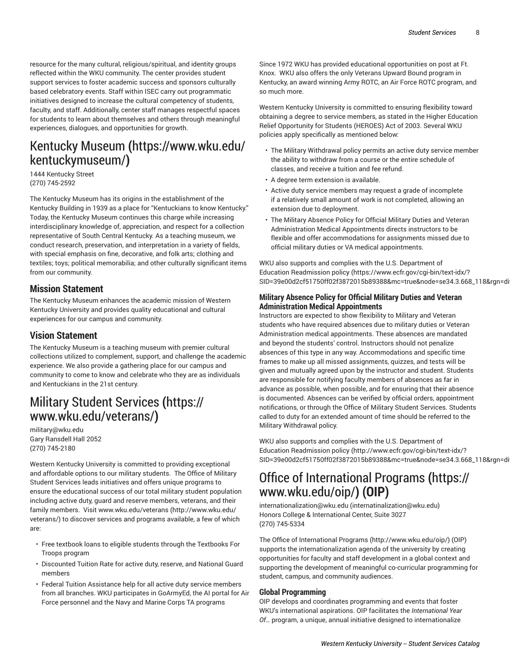resource for the many cultural, religious/spiritual, and identity groups reflected within the WKU community. The center provides student support services to foster academic success and sponsors culturally based celebratory events. Staff within ISEC carry out programmatic initiatives designed to increase the cultural competency of students, faculty, and staff. Additionally, center staff manages respectful spaces for students to learn about themselves and others through meaningful experiences, dialogues, and opportunities for growth.

## [Kentucky](https://www.wku.edu/kentuckymuseum/) Museum **(**[https://www.wku.edu/](https://www.wku.edu/kentuckymuseum/) [kentuckymuseum/](https://www.wku.edu/kentuckymuseum/)**)**

1444 Kentucky Street (270) 745-2592

The Kentucky Museum has its origins in the establishment of the Kentucky Building in 1939 as a place for "Kentuckians to know Kentucky." Today, the Kentucky Museum continues this charge while increasing interdisciplinary knowledge of, appreciation, and respect for a collection representative of South Central Kentucky. As a teaching museum, we conduct research, preservation, and interpretation in a variety of fields, with special emphasis on fine, decorative, and folk arts; clothing and textiles; toys; political memorabilia; and other culturally significant items from our community.

### **Mission Statement**

The Kentucky Museum enhances the academic mission of Western Kentucky University and provides quality educational and cultural experiences for our campus and community.

### **Vision Statement**

The Kentucky Museum is a teaching museum with premier cultural collections utilized to complement, support, and challenge the academic experience. We also provide a gathering place for our campus and community to come to know and celebrate who they are as individuals and Kentuckians in the 21st century.

## Military Student [Services](https://www.wku.edu/veterans/) **(**[https://](https://www.wku.edu/veterans/) [www.wku.edu/veterans/](https://www.wku.edu/veterans/)**)**

[military@wku.edu](mailto:military@wku.edu) Gary Ransdell Hall 2052 (270) 745-2180

Western Kentucky University is committed to providing exceptional and affordable options to our military students. The Office of Military Student Services leads initiatives and offers unique programs to ensure the educational success of our total military student population including active duty, guard and reserve members, veterans, and their family members. Visit [www.wku.edu/veterans](http://www.wku.edu/veterans/) [\(http://www.wku.edu/](http://www.wku.edu/veterans/) [veterans/](http://www.wku.edu/veterans/)) to discover services and programs available, a few of which are:

- Free textbook loans to eligible students through the Textbooks For Troops program
- Discounted Tuition Rate for active duty, reserve, and National Guard members
- Federal Tuition Assistance help for all active duty service members from all branches. WKU participates in GoArmyEd, the AI portal for Air Force personnel and the Navy and Marine Corps TA programs

Since 1972 WKU has provided educational opportunities on post at Ft. Knox. WKU also offers the only Veterans Upward Bound program in Kentucky, an award winning Army ROTC, an Air Force ROTC program, and so much more.

Western Kentucky University is committed to ensuring flexibility toward obtaining a degree to service members, as stated in the Higher Education Relief Opportunity for Students (HEROES) Act of 2003. Several WKU policies apply specifically as mentioned below:

- The Military Withdrawal policy permits an active duty service member the ability to withdraw from a course or the entire schedule of classes, and receive a tuition and fee refund.
- A degree term extension is available.
- Active duty service members may request a grade of incomplete if a relatively small amount of work is not completed, allowing an extension due to deployment.
- The Military Absence Policy for Official Military Duties and Veteran Administration Medical Appointments directs instructors to be flexible and offer accommodations for assignments missed due to official military duties or VA medical appointments.

WKU also supports and complies with the U.S. [Department](https://www.ecfr.gov/cgi-bin/text-idx/?SID=39e00d2cf51750ff02f3872015b89388&mc=true&node=se34.3.668_118&rgn=div8) of Education [Readmission](https://www.ecfr.gov/cgi-bin/text-idx/?SID=39e00d2cf51750ff02f3872015b89388&mc=true&node=se34.3.668_118&rgn=div8) policy [\(https://www.ecfr.gov/cgi-bin/text-idx/?](https://www.ecfr.gov/cgi-bin/text-idx/?SID=39e00d2cf51750ff02f3872015b89388&mc=true&node=se34.3.668_118&rgn=div8) [SID=39e00d2cf51750ff02f3872015b89388&mc=true&node=se34.3.668\\_118&rgn=div8](https://www.ecfr.gov/cgi-bin/text-idx/?SID=39e00d2cf51750ff02f3872015b89388&mc=true&node=se34.3.668_118&rgn=div8)).

#### **Military Absence Policy for Official Military Duties and Veteran Administration Medical Appointments**

Instructors are expected to show flexibility to Military and Veteran students who have required absences due to military duties or Veteran Administration medical appointments. These absences are mandated and beyond the students' control. Instructors should not penalize absences of this type in any way. Accommodations and specific time frames to make up all missed assignments, quizzes, and tests will be given and mutually agreed upon by the instructor and student. Students are responsible for notifying faculty members of absences as far in advance as possible, when possible, and for ensuring that their absence is documented. Absences can be verified by official orders, appointment notifications, or through the Office of Military Student Services. Students called to duty for an extended amount of time should be referred to the Military Withdrawal policy.

WKU also supports and complies with the U.S. [Department](http://www.ecfr.gov/cgi-bin/text-idx/?SID=39e00d2cf51750ff02f3872015b89388&mc=true&node=se34.3.668_118&rgn=div8) of Education [Readmission](http://www.ecfr.gov/cgi-bin/text-idx/?SID=39e00d2cf51750ff02f3872015b89388&mc=true&node=se34.3.668_118&rgn=div8) policy [\(http://www.ecfr.gov/cgi-bin/text-idx/?](http://www.ecfr.gov/cgi-bin/text-idx/?SID=39e00d2cf51750ff02f3872015b89388&mc=true&node=se34.3.668_118&rgn=div8) SID=39e00d2cf51750ff02f3872015b89388&mc=true&node=se34.3.668\_118&rgn=di

## Office of [International](https://www.wku.edu/oip/) Programs **(**[https://](https://www.wku.edu/oip/) [www.wku.edu/oip/](https://www.wku.edu/oip/)**) (OIP)**

[internationalization@wku.edu](mailto:internatinalization@wku.edu) [\(internatinalization@wku.edu\)](internatinalization@wku.edu) Honors College & International Center, Suite 3027 (270) 745-5334

The Office of [International](http://www.wku.edu/oip/) Programs ([http://www.wku.edu/oip/\)](http://www.wku.edu/oip/) (OIP) supports the internationalization agenda of the university by creating opportunities for faculty and staff development in a global context and supporting the development of meaningful co-curricular programming for student, campus, and community audiences.

#### **Global Programming**

OIP develops and coordinates programming and events that foster WKU's international aspirations. OIP facilitates the *International Year Of…* program, a unique, annual initiative designed to internationalize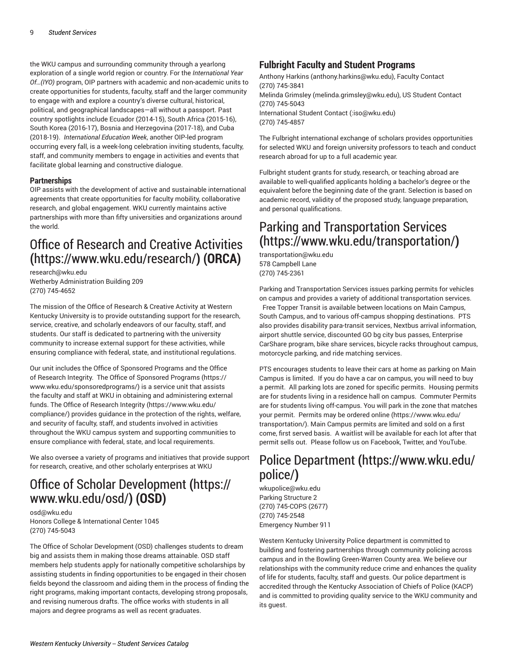the WKU campus and surrounding community through a yearlong exploration of a single world region or country. For the *International Year Of…(IYO)* program, OIP partners with academic and non-academic units to create opportunities for students, faculty, staff and the larger community to engage with and explore a country's diverse cultural, historical, political, and geographical landscapes—all without a passport. Past country spotlights include Ecuador (2014-15), South Africa (2015-16), South Korea (2016-17), Bosnia and Herzegovina (2017-18), and Cuba (2018-19). *International Education Week*, another OIP-led program occurring every fall, is a week-long celebration inviting students, faculty, staff, and community members to engage in activities and events that facilitate global learning and constructive dialogue.

#### **Partnerships**

OIP assists with the development of active and sustainable international agreements that create opportunities for faculty mobility, collaborative research, and global engagement. WKU currently maintains active partnerships with more than fifty universities and organizations around the world.

## Office of Research and Creative [Activities](https://www.wku.edu/research/) **(**<https://www.wku.edu/research/>**) (ORCA)**

[research@wku.edu](mailto:research@wku.edu) Wetherby Administration Building 209 (270) 745-4652

The mission of the Office of Research & Creative Activity at Western Kentucky University is to provide outstanding support for the research, service, creative, and scholarly endeavors of our faculty, staff, and students. Our staff is dedicated to partnering with the university community to increase external support for these activities, while ensuring compliance with federal, state, and institutional regulations.

Our unit includes the Office of Sponsored Programs and the Office of Research Integrity. The Office of [Sponsored](https://www.wku.edu/sponsoredprograms/) Programs ([https://](https://www.wku.edu/sponsoredprograms/) [www.wku.edu/sponsoredprograms/](https://www.wku.edu/sponsoredprograms/)) is a service unit that assists the faculty and staff at WKU in obtaining and administering external funds. The Office of [Research](https://www.wku.edu/compliance/) Integrity ([https://www.wku.edu/](https://www.wku.edu/compliance/) [compliance/](https://www.wku.edu/compliance/)) provides guidance in the protection of the rights, welfare, and security of faculty, staff, and students involved in activities throughout the WKU campus system and supporting communities to ensure compliance with federal, state, and local requirements.

We also oversee a variety of programs and initiatives that provide support for research, creative, and other scholarly enterprises at WKU

## Office of Scholar [Development](https://www.wku.edu/osd/) **(**[https://](https://www.wku.edu/osd/) [www.wku.edu/osd/](https://www.wku.edu/osd/)**) (OSD)**

[osd@wku.edu](mailto:osd@wku.edu) Honors College & International Center 1045 (270) 745-5043

The Office of Scholar Development (OSD) challenges students to dream big and assists them in making those dreams attainable. OSD staff members help students apply for nationally competitive scholarships by assisting students in finding opportunities to be engaged in their chosen fields beyond the classroom and aiding them in the process of finding the right programs, making important contacts, developing strong proposals, and revising numerous drafts. The office works with students in all majors and degree programs as well as recent graduates.

### **Fulbright Faculty and Student Programs**

[Anthony Harkins](mailto:anthony.harkins@wku.edu) (<anthony.harkins@wku.edu>), Faculty Contact (270) 745-3841 Melinda [Grimsley](mailto:melinda.grimsley@wku.edu) [\(melinda.grimsley@wku.edu](melinda.grimsley@wku.edu)), US Student Contact (270) 745-5043 [International Student Contact](mailto::iso@wku.edu) [\(:iso@wku.edu](:iso@wku.edu)) (270) 745-4857

The Fulbright international exchange of scholars provides opportunities for selected WKU and foreign university professors to teach and conduct research abroad for up to a full academic year.

Fulbright student grants for study, research, or teaching abroad are available to well-qualified applicants holding a bachelor's degree or the equivalent before the beginning date of the grant. Selection is based on academic record, validity of the proposed study, language preparation, and personal qualifications.

## Parking and [Transportation](https://www.wku.edu/transportation/) Services **(**<https://www.wku.edu/transportation/>**)**

[transportation@wku.edu](mailto:transportation@wku.edu) 578 Campbell Lane (270) 745-2361

Parking and Transportation Services issues parking permits for vehicles on campus and provides a variety of additional transportation services.

Free Topper Transit is available between locations on Main Campus, South Campus, and to various off-campus shopping destinations. PTS also provides disability para-transit services, Nextbus arrival information, airport shuttle service, discounted GO bg city bus passes, Enterprise CarShare program, bike share services, bicycle racks throughout campus, motorcycle parking, and ride matching services.

PTS encourages students to leave their cars at home as parking on Main Campus is limited. If you do have a car on campus, you will need to buy a permit. All parking lots are zoned for specific permits. Housing permits are for students living in a residence hall on campus. Commuter Permits are for students living off-campus. You will park in the zone that matches your permit. Permits may be ordered [online \(https://www.wku.edu/](https://www.wku.edu/transportation/) [transportation/](https://www.wku.edu/transportation/)). Main Campus permits are limited and sold on a first come, first served basis. A waitlist will be available for each lot after that permit sells out. Please follow us on Facebook, Twitter, and YouTube.

## Police [Department](https://www.wku.edu/police/) **(**[https://www.wku.edu/](https://www.wku.edu/police/) [police/](https://www.wku.edu/police/)**)**

[wkupolice@wku.edu](mailto:wkupolice@wku.edu) Parking Structure 2 (270) 745-COPS (2677) (270) 745-2548 Emergency Number 911

Western Kentucky University Police department is committed to building and fostering partnerships through community policing across campus and in the Bowling Green-Warren County area. We believe our relationships with the community reduce crime and enhances the quality of life for students, faculty, staff and guests. Our police department is accredited through the Kentucky Association of Chiefs of Police (KACP) and is committed to providing quality service to the WKU community and its guest.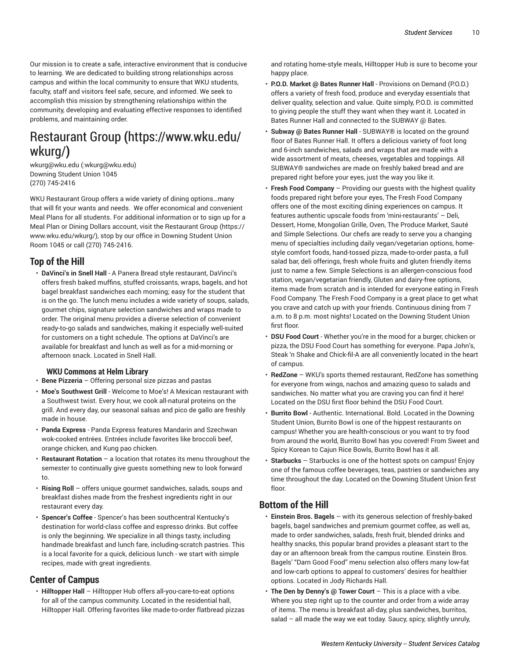Our mission is to create a safe, interactive environment that is conducive to learning. We are dedicated to building strong relationships across campus and within the local community to ensure that WKU students, faculty, staff and visitors feel safe, secure, and informed. We seek to accomplish this mission by strengthening relationships within the community, developing and evaluating effective responses to identified problems, and maintaining order.

## [Restaurant](https://www.wku.edu/wkurg/) Group **(**[https://www.wku.edu/](https://www.wku.edu/wkurg/) [wkurg/](https://www.wku.edu/wkurg/)**)**

[wkurg@wku.edu](mailto::wkurg@wku.edu) (<:wkurg@wku.edu>) Downing Student Union 1045 (270) 745-2416

WKU Restaurant Group offers a wide variety of dining options…many that will fit your wants and needs. We offer economical and convenient Meal Plans for all students. For additional information or to sign up for a Meal Plan or Dining Dollars account, visit the [Restaurant](https://www.wku.edu/wkurg/) Group [\(https://](https://www.wku.edu/wkurg/) [www.wku.edu/wkurg/](https://www.wku.edu/wkurg/)), stop by our office in Downing Student Union Room 1045 or call (270) 745-2416.

### **Top of the Hill**

• **DaVinci's in Snell Hall** - A Panera Bread style restaurant, DaVinci's offers fresh baked muffins, stuffed croissants, wraps, bagels, and hot bagel breakfast sandwiches each morning; easy for the student that is on the go. The lunch menu includes a wide variety of soups, salads, gourmet chips, signature selection sandwiches and wraps made to order. The original menu provides a diverse selection of convenient ready-to-go salads and sandwiches, making it especially well-suited for customers on a tight schedule. The options at DaVinci's are available for breakfast and lunch as well as for a mid-morning or afternoon snack. Located in Snell Hall.

#### **WKU Commons at Helm Library**

• **Bene Pizzeria** – Offering personal size pizzas and pastas

- **Moe's Southwest Grill** Welcome to Moe's! A Mexican restaurant with a Southwest twist. Every hour, we cook all-natural proteins on the grill. And every day, our seasonal salsas and pico de gallo are freshly made in house.
- **Panda Express** Panda Express features Mandarin and Szechwan wok-cooked entrées. Entrées include favorites like broccoli beef, orange chicken, and Kung pao chicken.
- **Restaurant Rotation** a location that rotates its menu throughout the semester to continually give guests something new to look forward to.
- **Rising Roll**  offers unique gourmet sandwiches, salads, soups and breakfast dishes made from the freshest ingredients right in our restaurant every day.
- **Spencer's Coffee** Spencer's has been southcentral Kentucky's destination for world-class coffee and espresso drinks. But coffee is only the beginning. We specialize in all things tasty, including handmade breakfast and lunch fare, including-scratch pastries. This is a local favorite for a quick, delicious lunch - we start with simple recipes, made with great ingredients.

### **Center of Campus**

• **Hilltopper Hall** – Hilltopper Hub offers all-you-care-to-eat options for all of the campus community. Located in the residential hall, Hilltopper Hall. Offering favorites like made-to-order flatbread pizzas and rotating home-style meals, Hilltopper Hub is sure to become your happy place.

- **P.O.D. Market @ Bates Runner Hall** Provisions on Demand (P.O.D.) offers a variety of fresh food, produce and everyday essentials that deliver quality, selection and value. Quite simply, P.O.D. is committed to giving people the stuff they want when they want it. Located in Bates Runner Hall and connected to the SUBWAY @ Bates.
- **Subway @ Bates Runner Hall** SUBWAY® is located on the ground floor of Bates Runner Hall. It offers a delicious variety of foot long and 6-inch sandwiches, salads and wraps that are made with a wide assortment of meats, cheeses, vegetables and toppings. All SUBWAY® sandwiches are made on freshly baked bread and are prepared right before your eyes, just the way you like it.
- **Fresh Food Company** Providing our guests with the highest quality foods prepared right before your eyes, The Fresh Food Company offers one of the most exciting dining experiences on campus. It features authentic upscale foods from 'mini-restaurants' – Deli, Dessert, Home, Mongolian Grille, Oven, The Produce Market, Sauté and Simple Selections. Our chefs are ready to serve you a changing menu of specialties including daily vegan/vegetarian options, homestyle comfort foods, hand-tossed pizza, made-to-order pasta, a full salad bar, deli offerings, fresh whole fruits and gluten friendly items just to name a few. Simple Selections is an allergen-conscious food station, vegan/vegetarian friendly, Gluten and dairy-free options, items made from scratch and is intended for everyone eating in Fresh Food Company. The Fresh Food Company is a great place to get what you crave and catch up with your friends. Continuous dining from 7 a.m. to 8 p.m. most nights! Located on the Downing Student Union first floor.
- **DSU Food Court** Whether you're in the mood for a burger, chicken or pizza, the DSU Food Court has something for everyone. Papa John's, Steak 'n Shake and Chick-fil-A are all conveniently located in the heart of campus.
- **RedZone** WKU's sports themed restaurant, RedZone has something for everyone from wings, nachos and amazing queso to salads and sandwiches. No matter what you are craving you can find it here! Located on the DSU first floor behind the DSU Food Court.
- **Burrito Bowl** Authentic. International. Bold. Located in the Downing Student Union, Burrito Bowl is one of the hippest restaurants on campus! Whether you are health-conscious or you want to try food from around the world, Burrito Bowl has you covered! From Sweet and Spicy Korean to Cajun Rice Bowls, Burrito Bowl has it all.
- **Starbucks** Starbucks is one of the hottest spots on campus! Enjoy one of the famous coffee beverages, teas, pastries or sandwiches any time throughout the day. Located on the Downing Student Union first floor.

### **Bottom of the Hill**

- **Einstein Bros. Bagels**  with its generous selection of freshly-baked bagels, bagel sandwiches and premium gourmet coffee, as well as, made to order sandwiches, salads, fresh fruit, blended drinks and healthy snacks, this popular brand provides a pleasant start to the day or an afternoon break from the campus routine. Einstein Bros. Bagels' "Darn Good Food" menu selection also offers many low-fat and low-carb options to appeal to customers' desires for healthier options. Located in Jody Richards Hall.
- **The Den by Denny's @ Tower Court** This is a place with a vibe. Where you step right up to the counter and order from a wide array of items. The menu is breakfast all-day, plus sandwiches, burritos, salad – all made the way we eat today. Saucy, spicy, slightly unruly,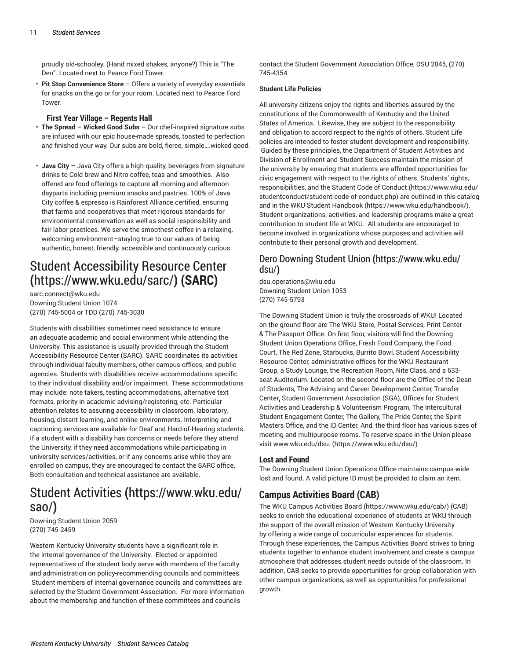proudly old-schooley. (Hand mixed shakes, anyone?) This is "The Den". Located next to Pearce Ford Tower.

• **Pit Stop Convenience Store** – Offers a variety of everyday essentials for snacks on the go or for your room. Located next to Pearce Ford Tower.

#### **First Year Village – Regents Hall**

- **The Spread – Wicked Good Subs –** Our chef-inspired signature subs are infused with our epic house-made spreads, toasted to perfection and finished your way. Our subs are bold, fierce, simple….wicked good.
- **Java City –** Java City offers a high-quality, beverages from signature drinks to Cold brew and Nitro coffee, teas and smoothies. Also offered are food offerings to capture all morning and afternoon dayparts including premium snacks and pastries. 100% of Java City coffee & espresso is Rainforest Alliance certified, ensuring that farms and cooperatives that meet rigorous standards for environmental conservation as well as social responsibility and fair labor practices. We serve the smoothest coffee in a relaxing, welcoming environment–staying true to our values of being authentic, honest, friendly, accessible and continuously curious.

## Student [Accessibility](https://www.wku.edu/sarc/) Resource Center **(**<https://www.wku.edu/sarc/>**) (SARC)**

[sarc.connect@wku.edu](mailto:sarc.connect@wku.edu) Downing Student Union 1074 (270) 745-5004 or TDD (270) 745-3030

Students with disabilities sometimes need assistance to ensure an adequate academic and social environment while attending the University. This assistance is usually provided through the Student Accessibility Resource Center (SARC). SARC coordinates its activities through individual faculty members, other campus offices, and public agencies. Students with disabilities receive accommodations specific to their individual disability and/or impairment. These accommodations may include: note takers, testing accommodations, alternative text formats, priority in academic advising/registering, etc. Particular attention relates to assuring accessibility in classroom, laboratory, housing, distant learning, and online environments. Interpreting and captioning services are available for Deaf and Hard-of-Hearing students. If a student with a disability has concerns or needs before they attend the University, if they need accommodations while participating in university services/activities, or if any concerns arise while they are enrolled on campus, they are encouraged to contact the SARC office. Both consultation and technical assistance are available.

### [Student Activities](https://www.wku.edu/sao/) **(**[https://www.wku.edu/](https://www.wku.edu/sao/) [sao/](https://www.wku.edu/sao/)**)**

Downing Student Union 2059 (270) 745-2459

Western Kentucky University students have a significant role in the internal governance of the University. Elected or appointed representatives of the student body serve with members of the faculty and administration on policy-recommending councils and committees. Student members of internal governance councils and committees are selected by the Student Government Association. For more information about the membership and function of these committees and councils

contact the Student Government Association Office, DSU 2045, (270) 745-4354.

#### **Student Life Policies**

All university citizens enjoy the rights and liberties assured by the constitutions of the Commonwealth of Kentucky and the United States of America. Likewise, they are subject to the responsibility and obligation to accord respect to the rights of others. Student Life policies are intended to foster student development and responsibility. Guided by these principles, the Department of Student Activities and Division of Enrollment and Student Success maintain the mission of the university by ensuring that students are afforded opportunities for civic engagement with respect to the rights of others. Students' rights, responsibilities, and the [Student Code of Conduct \(https://www.wku.edu/](https://www.wku.edu/studentconduct/student-code-of-conduct.php) [studentconduct/student-code-of-conduct.php\)](https://www.wku.edu/studentconduct/student-code-of-conduct.php) are outlined in this catalog and in the [WKU Student Handbook \(https://www.wku.edu/handbook/](https://www.wku.edu/handbook/)). Student organizations, activities, and leadership programs make a great contribution to student life at WKU. All students are encouraged to become involved in organizations whose purposes and activities will contribute to their personal growth and development.

### Dero [Downing](https://www.wku.edu/dsu/) Student Union **(**[https://www.wku.edu/](https://www.wku.edu/dsu/) [dsu/](https://www.wku.edu/dsu/)**)**

[dsu.operations@wku.edu](mailto:dsu.operations@wku.edu) Downing Student Union 1053 (270) 745-5793

The Downing Student Union is truly the crossroads of WKU! Located on the ground floor are The WKU Store, Postal Services, Print Center & The Passport Office. On first floor, visitors will find the Downing Student Union Operations Office, Fresh Food Company, the Food Court, The Red Zone, Starbucks, Burrito Bowl, Student Accessibility Resource Center, administrative offices for the WKU Restaurant Group, a Study Lounge, the Recreation Room, Nite Class, and a 633 seat Auditorium. Located on the second floor are the Office of the Dean of Students, The Advising and Career Development Center, Transfer Center, Student Government Association (SGA), Offices for Student Activities and Leadership & Volunteerism Program, The Intercultural Student Engagement Center, The Gallery, The Pride Center, the Spirit Masters Office, and the ID Center. And, the third floor has various sizes of meeting and multipurpose rooms. To reserve space in the Union please visit [www.wku.edu/dsu.](https://www.wku.edu/dsu/) ([https://www.wku.edu/dsu/\)](https://www.wku.edu/dsu/)

#### **Lost and Found**

The Downing Student Union Operations Office maintains campus-wide lost and found. A valid picture ID must be provided to claim an item.

### **Campus Activities Board (CAB)**

The WKU Campus [Activities](https://www.wku.edu/cab/) Board [\(https://www.wku.edu/cab/\)](https://www.wku.edu/cab/) (CAB) seeks to enrich the educational experience of students at WKU through the support of the overall mission of Western Kentucky University by offering a wide range of cocurricular experiences for students. Through these experiences, the Campus Activities Board strives to bring students together to enhance student involvement and create a campus atmosphere that addresses student needs outside of the classroom. In addition, CAB seeks to provide opportunities for group collaboration with other campus organizations, as well as opportunities for professional growth.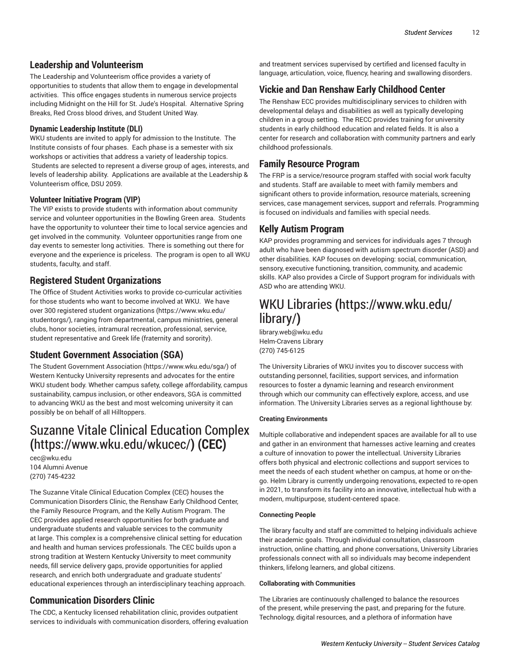### **Leadership and Volunteerism**

The Leadership and Volunteerism office provides a variety of opportunities to students that allow them to engage in developmental activities. This office engages students in numerous service projects including Midnight on the Hill for St. Jude's Hospital. Alternative Spring Breaks, Red Cross blood drives, and Student United Way.

#### **Dynamic Leadership Institute (DLI)**

WKU students are invited to apply for admission to the Institute. The Institute consists of four phases. Each phase is a semester with six workshops or activities that address a variety of leadership topics. Students are selected to represent a diverse group of ages, interests, and levels of leadership ability. Applications are available at the Leadership & Volunteerism office, DSU 2059.

#### **Volunteer Initiative Program (VIP)**

The VIP exists to provide students with information about community service and volunteer opportunities in the Bowling Green area. Students have the opportunity to volunteer their time to local service agencies and get involved in the community. Volunteer opportunities range from one day events to semester long activities. There is something out there for everyone and the experience is priceless. The program is open to all WKU students, faculty, and staff.

### **Registered Student Organizations**

The Office of Student Activities works to provide co-curricular activities for those students who want to become involved at WKU. We have over 300 registered student [organizations \(https://www.wku.edu/](https://www.wku.edu/studentorgs/) [studentorgs/\)](https://www.wku.edu/studentorgs/), ranging from departmental, campus ministries, general clubs, honor societies, intramural recreation, professional, service, student representative and Greek life (fraternity and sorority).

### **Student Government Association (SGA)**

The Student [Government](https://www.wku.edu/sga/) Association (<https://www.wku.edu/sga/>) of Western Kentucky University represents and advocates for the entire WKU student body. Whether campus safety, college affordability, campus sustainability, campus inclusion, or other endeavors, SGA is committed to advancing WKU as the best and most welcoming university it can possibly be on behalf of all Hilltoppers.

## Suzanne Vitale Clinical [Education](https://www.wku.edu/wkucec/) Complex **(**<https://www.wku.edu/wkucec/>**) (CEC)**

[cec@wku.edu](mailto:cec@wku.edu) 104 Alumni Avenue (270) 745-4232

The Suzanne Vitale Clinical Education Complex (CEC) houses the Communication Disorders Clinic, the Renshaw Early Childhood Center, the Family Resource Program, and the Kelly Autism Program. The CEC provides applied research opportunities for both graduate and undergraduate students and valuable services to the community at large. This complex is a comprehensive clinical setting for education and health and human services professionals. The CEC builds upon a strong tradition at Western Kentucky University to meet community needs, fill service delivery gaps, provide opportunities for applied research, and enrich both undergraduate and graduate students' educational experiences through an interdisciplinary teaching approach.

### **Communication Disorders Clinic**

The CDC, a Kentucky licensed rehabilitation clinic, provides outpatient services to individuals with communication disorders, offering evaluation

and treatment services supervised by certified and licensed faculty in language, articulation, voice, fluency, hearing and swallowing disorders.

### **Vickie and Dan Renshaw Early Childhood Center**

The Renshaw ECC provides multidisciplinary services to children with developmental delays and disabilities as well as typically developing children in a group setting. The RECC provides training for university students in early childhood education and related fields. It is also a center for research and collaboration with community partners and early childhood professionals.

### **Family Resource Program**

The FRP is a service/resource program staffed with social work faculty and students. Staff are available to meet with family members and significant others to provide information, resource materials, screening services, case management services, support and referrals. Programming is focused on individuals and families with special needs.

### **Kelly Autism Program**

KAP provides programming and services for individuals ages 7 through adult who have been diagnosed with autism spectrum disorder (ASD) and other disabilities. KAP focuses on developing: social, communication, sensory, executive functioning, transition, community, and academic skills. KAP also provides a Circle of Support program for individuals with ASD who are attending WKU.

## [WKU Libraries](https://www.wku.edu/library/) **(**[https://www.wku.edu/](https://www.wku.edu/library/) [library/](https://www.wku.edu/library/)**)**

[library.web@wku.edu](mailto:library.web@wku.edu) Helm-Cravens Library (270) 745-6125

The University Libraries of WKU invites you to discover success with outstanding personnel, facilities, support services, and information resources to foster a dynamic learning and research environment through which our community can effectively explore, access, and use information. The University Libraries serves as a regional lighthouse by:

#### **Creating Environments**

Multiple collaborative and independent spaces are available for all to use and gather in an environment that harnesses active learning and creates a culture of innovation to power the intellectual. University Libraries offers both physical and electronic collections and support services to meet the needs of each student whether on campus, at home or on-thego. Helm Library is currently undergoing renovations, expected to re-open in 2021, to transform its facility into an innovative, intellectual hub with a modern, multipurpose, student-centered space.

#### **Connecting People**

The library faculty and staff are committed to helping individuals achieve their academic goals. Through individual consultation, classroom instruction, online chatting, and phone conversations, University Libraries professionals connect with all so individuals may become independent thinkers, lifelong learners, and global citizens.

#### **Collaborating with Communities**

The Libraries are continuously challenged to balance the resources of the present, while preserving the past, and preparing for the future. Technology, digital resources, and a plethora of information have